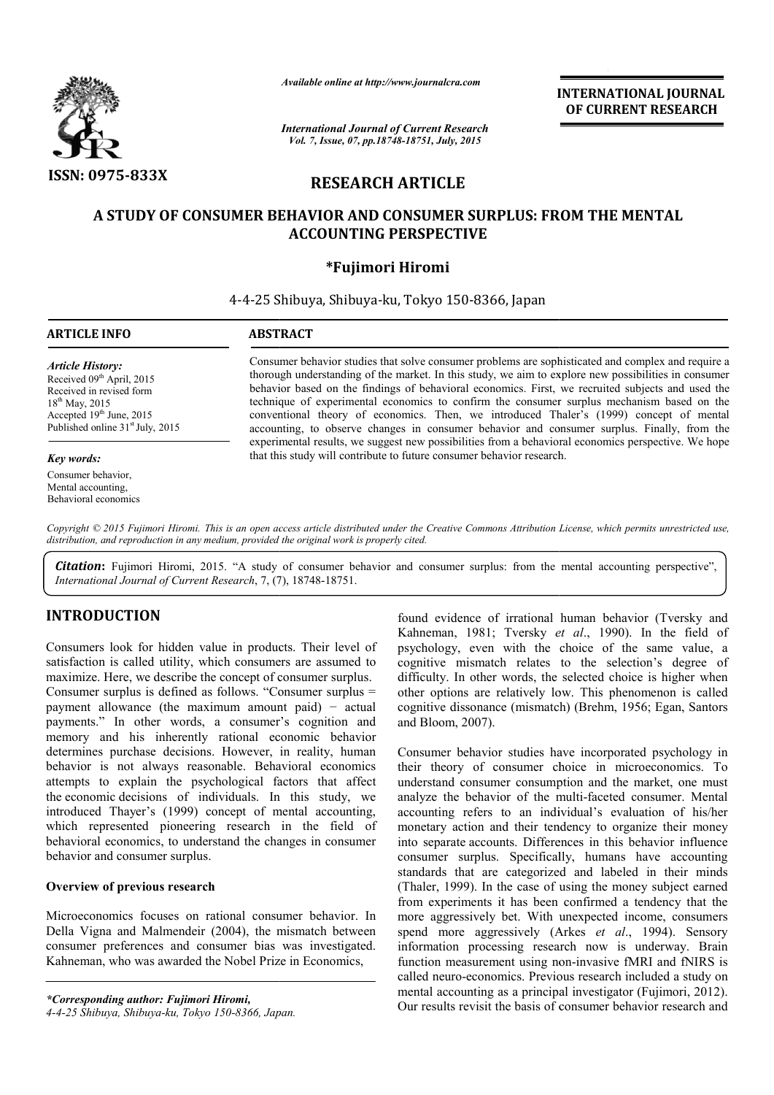

*Available online at http://www.journalcra.com*

*International Journal of Current Research Vol. 7, Issue, 07, pp.18748-18751, July, 2015*

INTERNATIONAL INTERNATIONAL JOURNAL OF CURRENT RESEARCH

# RESEARCH ARTICLE

# A STUDY OF CONSUMER BEHAVIOR AND CONSUMER SURPLUS: FROM THE MENTAL STUDY OF CONSUMER BEHAVIOR AND ACCOUNTING PERSPECTIVE

# \*Fujimori Hiromi

4-4-25 Shibuya, Shibuya 25 Shibuya-ku, Tokyo 150-8366, Japan 1

# ARTICLE INFO ABSTRACT

*Article History:* Received 09<sup>th</sup> April, 2015 Received in revised form 18th May, 2015 Accepted 19<sup>th</sup> June, 2015 Published online 31<sup>st</sup> July, 2015

#### *Key words:*

Consumer behavior, Mental accounting, Behavioral economics

Consumer behavior studies that solve consumer problems are sophisticated and complex and require a thorough understanding of the market. In this study, we aim to explore new possibilities in consumer behavior based on the findings of behavioral economics. First, we recruited subjects and used the technique of experimental economics to confirm the consumer surplus mechanism based on the conventional theory of economics. Then, w we introduced Thaler's (1999) concept of mental accounting, to observe changes in consumer behavior and consumer surplus. Finally, from the experimental results, we suggest new possibilities from a behavioral economics perspective. We hope that this study w will contribute to future consumer behavior research. and on the findings of behavioral economics. First, we recruited subjects and used the experimental economics to confirm the consumer surplus mechanism based on the theory of economics. Then, we introduced Thaler's (1999)

*Copyright © 2015 Fujimori Hiromi. This is an open access article distributed under the Creative Commons Att Attribution License, which ribution permits unrestricted use, distribution, and reproduction in any medium, provided the original work is properly cited.*

**Citation:** Fujimori Hiromi, 2015. "A study of consumer behavior and consumer surplus: from the mental accounting perspective", *International Journal of Current Research*, 7, (7), A 18748-18751.

# INTRODUCTION

Consumers look for hidden value in products. Their level of satisfaction is called utility, which consumers are assumed to maximize. Here, we describe the concept of consumer surplus. Consumer surplus is defined as follows. "Consumer surplus = payment allowance (the maximum amount paid) − actual payments." In other words, a consumer's cognition and memory and his inherently rational economic behavior determines purchase decisions. However, in reality, human behavior is not always reasonable. Behavioral economics attempts to explain the psychological factors that affect the economic decisions of individuals. In this study, we introduced Thayer's (1999) concept of mental accounting, which represented pioneering research in the field of behavioral economics, to understand the changes in consumer behavior and consumer surplus. nes purchase decisions. Hower<br>is not always reasonable.<br>s to explain the psychologic<br>nomic decisions of individual:<br>ced Thayer's (1999) concept<br>represented pioneering resea<br>ral economics, to understand the<br>practical explan

## Overview of previous research

Microeconomics focuses on rational consumer behavior. In Della Vigna and Malmendeir (2004), the mismatch between consumer preferences and consumer bias was investigated. Kahneman, who was awarded the Nobel Prize in Economics,

*\*Corresponding author: Fujimori Hiromi, 4-4-25 Shibuya, Shibuya-ku, Tokyo 150-8366, Japan Japan.* found evidence of irrational human behavior (Tversky and found evidence of irrational human behavior (Tversky and Kahneman, 1981; Tversky *et al.*, 1990). In the field of psychology, even with the choice of the same value, a cognitive mismatch relates to the selection's degree of difficulty. In other words, the selected choice is higher when other options are relatively low. This phenomenon is called cognitive dissonance (mismatch) (Brehm, 1956; Egan, Santors and Bloom, 2007). psychology, even with the choice of the same value, a cognitive mismatch relates to the selection's degree of difficulty. In other words, the selected choice is higher when other options are relatively low. This phenomenon

Consumer behavior studies have incorporated psychology in their theory of consumer choice in microeconomics. To understand consumer consumption and the market, one must accounting refers to an individual's evaluation of his/her monetary action and their tendency to organize their money into separate accounts. Differences in this behavior influence consumer surplus. Specifically, humans have accounting standards that are categorized and labeled in their minds (Thaler, 1999). In the case of using the money subject earned from experiments it has been confirmed a tendency that the more aggressively bet. With unexpected income, consumers spend more aggressively (Arkes et al., 1994). Sensory information processing research now is underway. Brain information processing research now is underway. Brain function measurement using non-invasive fMRI and fNIRS is called neuro-economics. Previous research included a study on mental accounting as a principal investigator (Fujimori, 2012). Our results revisit the basis of consumer behavior research and parate accounts. Differences in this behavior influence<br>ner surplus. Specifically, humans have accounting<br>ds that are categorized and labeled in their minds<br>r, 1999). In the case of using the money subject earned<br>aperiment **INTERNATIONAL JOURNAL TORIGATE (THE ACCURE THE SET AND THE ANCESS TRACE THE AND THE AND THE AND THE AND THE SET AND THE SET AND THE SET AND THE SET AND THE SET AND THE SET AND THE SET AND THE SET AND THE SET AND THE SET**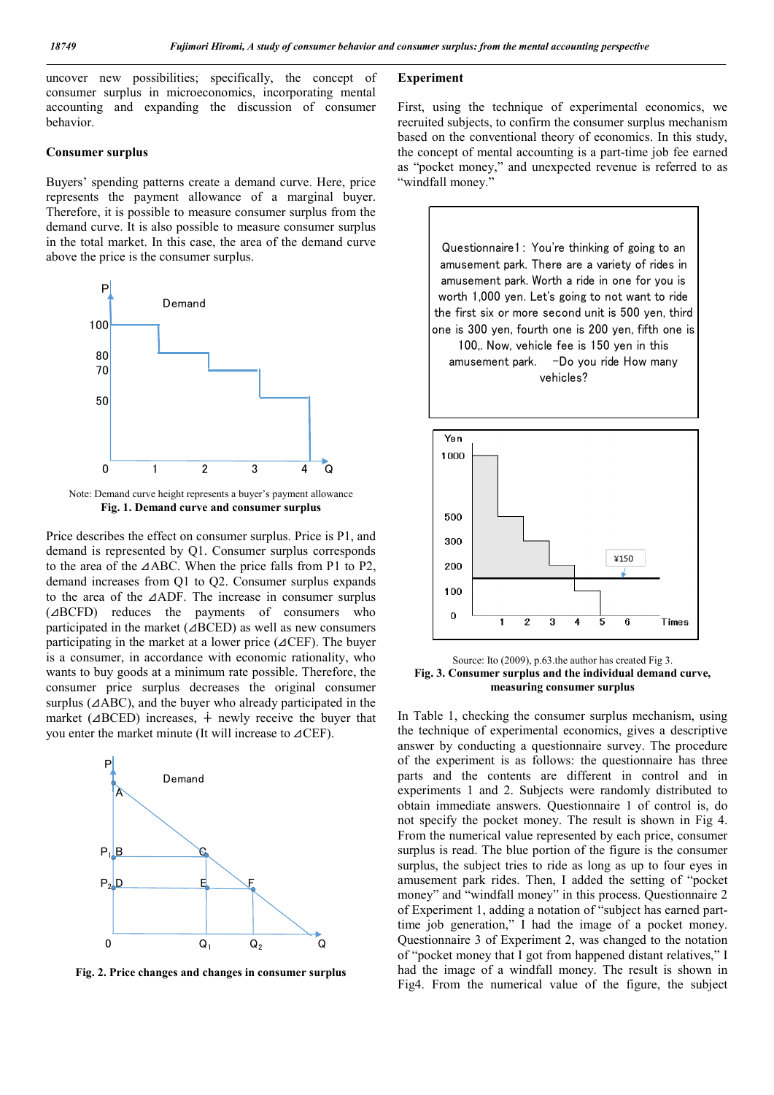uncover new possibilities; specifically, the concept of consumer surplus in microeconomics, incorporating mental accounting and expanding the discussion of consumer behavior.

### Consumer surplus

Buyers' spending patterns create a demand curve. Here, price represents the payment allowance of a marginal buyer. Therefore, it is possible to measure consumer surplus from the demand curve. It is also possible to measure consumer surplus in the total market. In this case, the area of the demand curve above the price is the consumer surplus.



Note: Demand curve height represents a buyer's payment allowance Fig. 1. Demand curve and consumer surplus

Price describes the effect on consumer surplus. Price is P1, and demand is represented by Q1. Consumer surplus corresponds to the area of the ⊿ABC. When the price falls from P1 to P2, demand increases from Q1 to Q2. Consumer surplus expands to the area of the ⊿ADF. The increase in consumer surplus (⊿BCFD) reduces the payments of consumers who participated in the market (⊿BCED) as well as new consumers participating in the market at a lower price (⊿CEF). The buyer is a consumer, in accordance with economic rationality, who wants to buy goods at a minimum rate possible. Therefore, the consumer price surplus decreases the original consumer surplus (⊿ABC), and the buyer who already participated in the market ( $\triangle$ BCED) increases,  $\dot{+}$  newly receive the buyer that you enter the market minute (It will increase to ⊿CEF).



Fig. 2. Price changes and changes in consumer surplus

## Experiment

First, using the technique of experimental economics, we recruited subjects, to confirm the consumer surplus mechanism based on the conventional theory of economics. In this study, the concept of mental accounting is a part-time job fee earned as "pocket money," and unexpected revenue is referred to as "windfall money."



Source: Ito (2009), p.63.the author has created Fig 3. Fig. 3. Consumer surplus and the individual demand curve, measuring consumer surplus

In Table 1, checking the consumer surplus mechanism, using the technique of experimental economics, gives a descriptive answer by conducting a questionnaire survey. The procedure of the experiment is as follows: the questionnaire has three parts and the contents are different in control and in experiments 1 and 2. Subjects were randomly distributed to obtain immediate answers. Questionnaire 1 of control is, do not specify the pocket money. The result is shown in Fig 4. From the numerical value represented by each price, consumer surplus is read. The blue portion of the figure is the consumer surplus, the subject tries to ride as long as up to four eyes in amusement park rides. Then, I added the setting of "pocket money" and "windfall money" in this process. Questionnaire 2 of Experiment 1, adding a notation of "subject has earned parttime job generation," I had the image of a pocket money. Questionnaire 3 of Experiment 2, was changed to the notation of "pocket money that I got from happened distant relatives," I had the image of a windfall money. The result is shown in Fig4. From the numerical value of the figure, the subject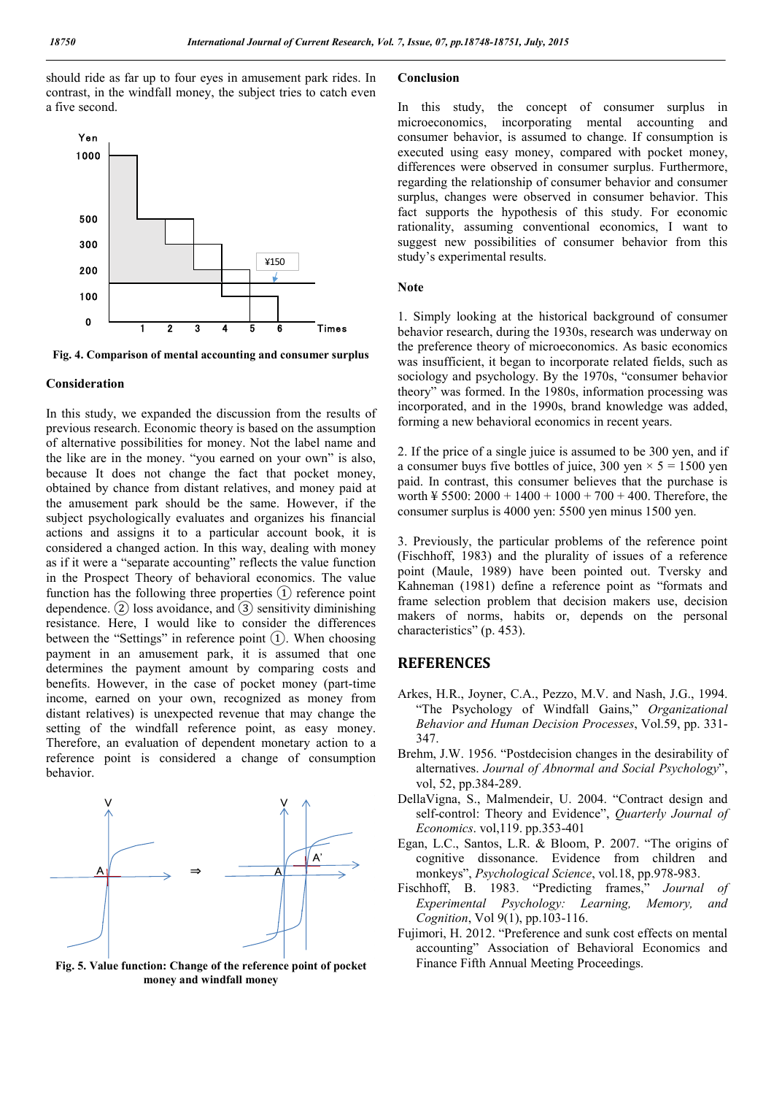should ride as far up to four eyes in amusement park rides. In contrast, in the windfall money, the subject tries to catch even a five second.



Fig. 4. Comparison of mental accounting and consumer surplus

#### Consideration

In this study, we expanded the discussion from the results of previous research. Economic theory is based on the assumption of alternative possibilities for money. Not the label name and the like are in the money. "you earned on your own" is also, because It does not change the fact that pocket money, obtained by chance from distant relatives, and money paid at the amusement park should be the same. However, if the subject psychologically evaluates and organizes his financial actions and assigns it to a particular account book, it is considered a changed action. In this way, dealing with money as if it were a "separate accounting" reflects the value function in the Prospect Theory of behavioral economics. The value function has the following three properties  $(1)$  reference point dependence.  $(2)$  loss avoidance, and  $(3)$  sensitivity diminishing resistance. Here, I would like to consider the differences between the "Settings" in reference point  $(1)$ . When choosing payment in an amusement park, it is assumed that one determines the payment amount by comparing costs and benefits. However, in the case of pocket money (part-time income, earned on your own, recognized as money from distant relatives) is unexpected revenue that may change the setting of the windfall reference point, as easy money. Therefore, an evaluation of dependent monetary action to a reference point is considered a change of consumption behavior.



Fig. 5. Value function: Change of the reference point of pocket money and windfall money

## Conclusion

In this study, the concept of consumer surplus in microeconomics, incorporating mental accounting and consumer behavior, is assumed to change. If consumption is executed using easy money, compared with pocket money, differences were observed in consumer surplus. Furthermore, regarding the relationship of consumer behavior and consumer surplus, changes were observed in consumer behavior. This fact supports the hypothesis of this study. For economic rationality, assuming conventional economics, I want to suggest new possibilities of consumer behavior from this study's experimental results.

#### Note

1. Simply looking at the historical background of consumer behavior research, during the 1930s, research was underway on the preference theory of microeconomics. As basic economics was insufficient, it began to incorporate related fields, such as sociology and psychology. By the 1970s, "consumer behavior theory" was formed. In the 1980s, information processing was incorporated, and in the 1990s, brand knowledge was added, forming a new behavioral economics in recent years.

2. If the price of a single juice is assumed to be 300 yen, and if a consumer buys five bottles of juice, 300 yen  $\times$  5 = 1500 yen paid. In contrast, this consumer believes that the purchase is worth  $\frac{1}{2}$  5500: 2000 + 1400 + 1000 + 700 + 400. Therefore, the consumer surplus is 4000 yen: 5500 yen minus 1500 yen.

3. Previously, the particular problems of the reference point (Fischhoff, 1983) and the plurality of issues of a reference point (Maule, 1989) have been pointed out. Tversky and Kahneman (1981) define a reference point as "formats and frame selection problem that decision makers use, decision makers of norms, habits or, depends on the personal characteristics" (p. 453).

## **REFERENCES**

- Arkes, H.R., Joyner, C.A., Pezzo, M.V. and Nash, J.G., 1994. "The Psychology of Windfall Gains," *Organizational Behavior and Human Decision Processes*, Vol.59, pp. 331- 347.
- Brehm, J.W. 1956. "Postdecision changes in the desirability of alternatives. *Journal of Abnormal and Social Psychology*", vol, 52, pp.384-289.
- DellaVigna, S., Malmendeir, U. 2004. "Contract design and self-control: Theory and Evidence", *Quarterly Journal of Economics*. vol,119. pp.353-401
- Egan, L.C., Santos, L.R. & Bloom, P. 2007. "The origins of cognitive dissonance. Evidence from children and monkeys", *Psychological Science*, vol.18, pp.978-983.
- Fischhoff, B. 1983. "Predicting frames," *Journal of Experimental Psychology: Learning, Memory, and Cognition*, Vol 9(1), pp.103-116.
- Fujimori, H. 2012. "Preference and sunk cost effects on mental accounting" Association of Behavioral Economics and Finance Fifth Annual Meeting Proceedings.